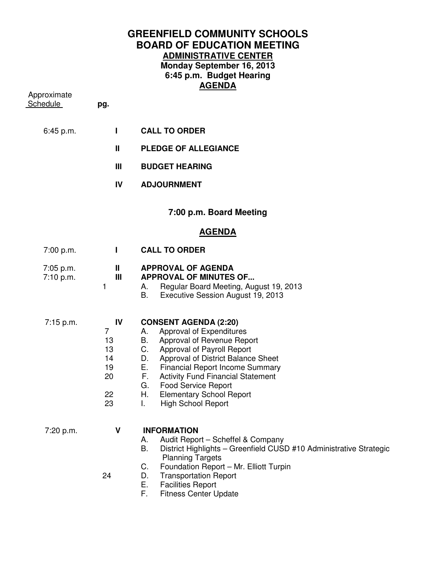## **GREENFIELD COMMUNITY SCHOOLS BOARD OF EDUCATION MEETING ADMINISTRATIVE CENTER Monday September 16, 2013 6:45 p.m. Budget Hearing AGENDA**

| Approximate<br>Schedule | pg.                                                            |                                                                                                                                                                                                                                                                                                                                                                                                |
|-------------------------|----------------------------------------------------------------|------------------------------------------------------------------------------------------------------------------------------------------------------------------------------------------------------------------------------------------------------------------------------------------------------------------------------------------------------------------------------------------------|
| 6:45 p.m.               | L                                                              | <b>CALL TO ORDER</b>                                                                                                                                                                                                                                                                                                                                                                           |
|                         | Ш                                                              | <b>PLEDGE OF ALLEGIANCE</b>                                                                                                                                                                                                                                                                                                                                                                    |
|                         | Ш                                                              | <b>BUDGET HEARING</b>                                                                                                                                                                                                                                                                                                                                                                          |
|                         | IV                                                             | <b>ADJOURNMENT</b>                                                                                                                                                                                                                                                                                                                                                                             |
|                         |                                                                | 7:00 p.m. Board Meeting                                                                                                                                                                                                                                                                                                                                                                        |
|                         |                                                                | <u>AGENDA</u>                                                                                                                                                                                                                                                                                                                                                                                  |
| 7:00 p.m.               | Т                                                              | <b>CALL TO ORDER</b>                                                                                                                                                                                                                                                                                                                                                                           |
| 7:05 p.m.<br>7:10 p.m.  | Ш<br>Ш<br>1                                                    | <b>APPROVAL OF AGENDA</b><br><b>APPROVAL OF MINUTES OF</b><br>Regular Board Meeting, August 19, 2013<br>А.<br>В.<br>Executive Session August 19, 2013                                                                                                                                                                                                                                          |
| 7:15 p.m.               | IV<br>$\overline{7}$<br>13<br>13<br>14<br>19<br>20<br>22<br>23 | <b>CONSENT AGENDA (2:20)</b><br>Approval of Expenditures<br>A.<br>B. Approval of Revenue Report<br>C. Approval of Payroll Report<br>Approval of District Balance Sheet<br>D.<br>Е.<br><b>Financial Report Income Summary</b><br>F.<br><b>Activity Fund Financial Statement</b><br>G.<br><b>Food Service Report</b><br>Н.<br><b>Elementary School Report</b><br><b>High School Report</b><br>I. |
| 7:20 p.m.               | $\mathbf v$<br>24                                              | <b>INFORMATION</b><br>Audit Report - Scheffel & Company<br>А.<br>Β.<br>District Highlights - Greenfield CUSD #10 Administrative Strategic<br><b>Planning Targets</b><br>Foundation Report - Mr. Elliott Turpin<br>C.<br><b>Transportation Report</b><br>D.                                                                                                                                     |

- 
- E. Facilities Report<br>F. Fitness Center U Fitness Center Update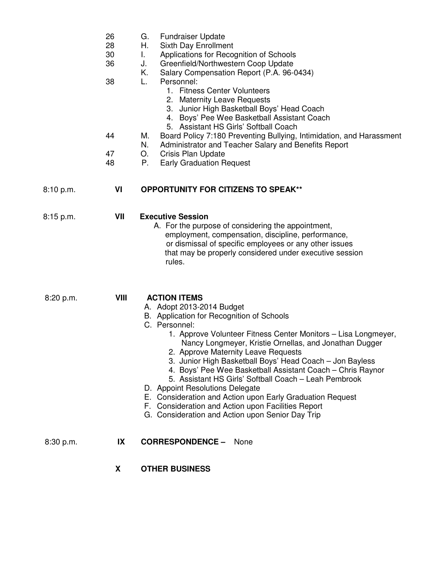| 26<br>G. | <b>Fundraiser Update</b> |
|----------|--------------------------|
|----------|--------------------------|

- 28 H. Sixth Day Enrollment
- 30 I. Applications for Recognition of Schools
- 36 J. Greenfield/Northwestern Coop Update
	- K. Salary Compensation Report (P.A. 96-0434)
- 38 L. Personnel:
	- 1. Fitness Center Volunteers
		- 2. Maternity Leave Requests
	- 3. Junior High Basketball Boys' Head Coach
	- 4. Boys' Pee Wee Basketball Assistant Coach
	- 5. Assistant HS Girls' Softball Coach
- 44 M. Board Policy 7:180 Preventing Bullying, Intimidation, and Harassment
	- N. Administrator and Teacher Salary and Benefits Report
- 47 O. Crisis Plan Update
- 48 P. Early Graduation Request

## 8:10 p.m. **VI OPPORTUNITY FOR CITIZENS TO SPEAK\*\***

| $8:15$ p.m. | VII | <b>Executive Session</b>                                |
|-------------|-----|---------------------------------------------------------|
|             |     | A. For the purpose of considering the appointment,      |
|             |     | employment, compensation, discipline, performance,      |
|             |     | or dismissal of specific employees or any other issues  |
|             |     | that may be properly considered under executive session |
|             |     | rules.                                                  |

 8:20 p.m. **VIII ACTION ITEMS**  A. Adopt 2013-2014 Budget B. Application for Recognition of Schools C. Personnel:

- 1. Approve Volunteer Fitness Center Monitors Lisa Longmeyer, Nancy Longmeyer, Kristie Ornellas, and Jonathan Dugger
- 2. Approve Maternity Leave Requests
- 3. Junior High Basketball Boys' Head Coach Jon Bayless
- 4. Boys' Pee Wee Basketball Assistant Coach Chris Raynor
- 5. Assistant HS Girls' Softball Coach Leah Pembrook
- D. Appoint Resolutions Delegate
- E. Consideration and Action upon Early Graduation Request
- F. Consideration and Action upon Facilities Report
- G. Consideration and Action upon Senior Day Trip
- 8:30 p.m. **IX CORRESPONDENCE** None
	- **X OTHER BUSINESS**